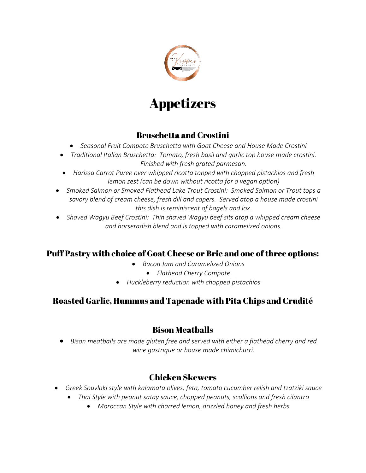

# Appetizers

# Bruschetta and Crostini

- *Seasonal Fruit Compote Bruschetta with Goat Cheese and House Made Crostini*
- *Traditional Italian Bruschetta: Tomato, fresh basil and garlic top house made crostini. Finished with fresh grated parmesan.*
- *Harissa Carrot Puree over whipped ricotta topped with chopped pistachios and fresh lemon zest (can be down without ricotta for a vegan option)*
- *Smoked Salmon or Smoked Flathead Lake Trout Crostini: Smoked Salmon or Trout tops a savory blend of cream cheese, fresh dill and capers. Served atop a house made crostini this dish is reminiscent of bagels and lox.*
- *Shaved Wagyu Beef Crostini: Thin shaved Wagyu beef sits atop a whipped cream cheese and horseradish blend and is topped with caramelized onions.*

# Puff Pastry with choice of Goat Cheese or Brie and one of three options:

- *Bacon Jam and Caramelized Onions*
	- *Flathead Cherry Compote*
- *Huckleberry reduction with chopped pistachios*

# Roasted Garlic, Hummus and Tapenade with Pita Chips and Crudité

# Bison Meatballs

• *Bison meatballs are made gluten free and served with either a flathead cherry and red wine gastrique or house made chimichurri.*

# Chicken Skewers

- *Greek Souvlaki style with kalamata olives, feta, tomato cucumber relish and tzatziki sauce* 
	- *Thai Style with peanut satay sauce, chopped peanuts, scallions and fresh cilantro* 
		- *Moroccan Style with charred lemon, drizzled honey and fresh herbs*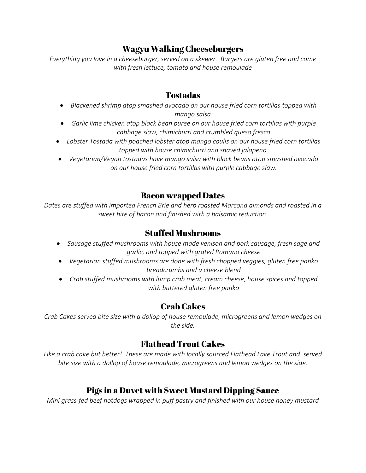# Wagyu Walking Cheeseburgers

*Everything you love in a cheeseburger, served on a skewer. Burgers are gluten free and come with fresh lettuce, tomato and house remoulade*

#### Tostadas

- *Blackened shrimp atop smashed avocado on our house fried corn tortillas topped with mango salsa.*
- *Garlic lime chicken atop black bean puree on our house fried corn tortillas with purple cabbage slaw, chimichurri and crumbled queso fresco*
- *Lobster Tostada with poached lobster atop mango coulis on our house fried corn tortillas topped with house chimichurri and shaved jalapeno.*
- *Vegetarian/Vegan tostadas have mango salsa with black beans atop smashed avocado on our house fried corn tortillas with purple cabbage slaw.*

#### Bacon wrapped Dates

*Dates are stuffed with imported French Brie and herb roasted Marcona almonds and roasted in a sweet bite of bacon and finished with a balsamic reduction.*

# Stuffed Mushrooms

- *Sausage stuffed mushrooms with house made venison and pork sausage, fresh sage and garlic, and topped with grated Romano cheese*
- *Vegetarian stuffed mushrooms are done with fresh chopped veggies, gluten free panko breadcrumbs and a cheese blend*
- *Crab stuffed mushrooms with lump crab meat, cream cheese, house spices and topped with buttered gluten free panko*

# Crab Cakes

*Crab Cakes served bite size with a dollop of house remoulade, microgreens and lemon wedges on the side.*

# Flathead Trout Cakes

*Like a crab cake but better! These are made with locally sourced Flathead Lake Trout and served bite size with a dollop of house remoulade, microgreens and lemon wedges on the side.*

# Pigs in a Duvet with Sweet Mustard Dipping Sauce

*Mini grass-fed beef hotdogs wrapped in puff pastry and finished with our house honey mustard*